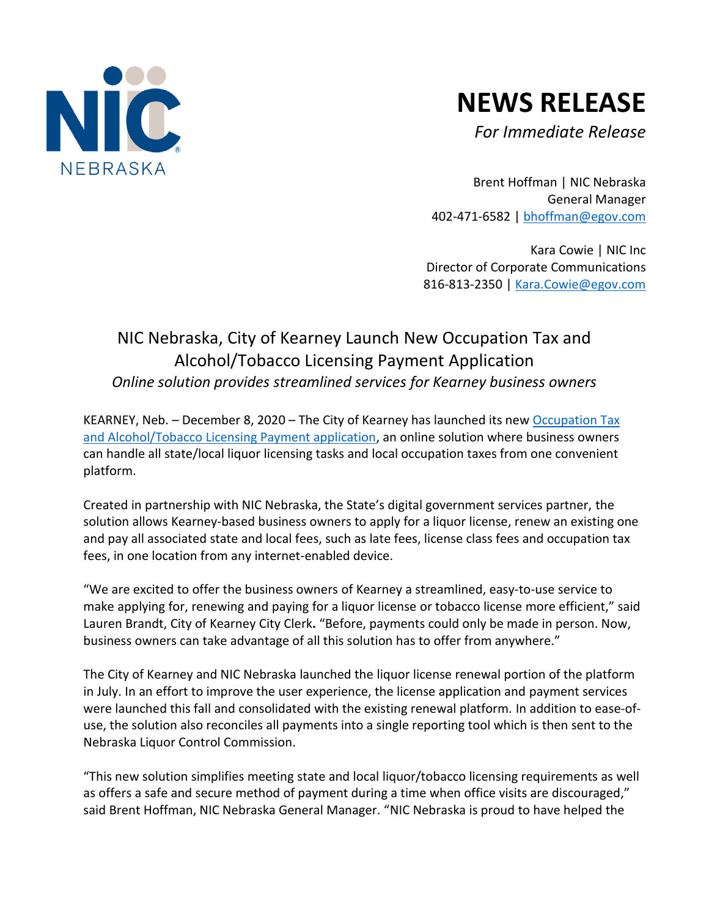

## **NEWS RELEASE**

*For Immediate Release*

Brent Hoffman | NIC Nebraska General Manager 402-471-6582 | [bhoffman@egov.com](mailto:bhoffman@egov.com)

Kara Cowie | NIC Inc Director of Corporate Communications 816-813-2350 | [Kara.Cowie@egov.com](mailto:Kara.Cowie@egov.com)

## NIC Nebraska, City of Kearney Launch New Occupation Tax and Alcohol/Tobacco Licensing Payment Application *Online solution provides streamlined services for Kearney business owners*

KEARNEY, Neb. - December 8, 2020 - The City of Kearney has launched its new Occupation Tax [and Alcohol/Tobacco Licensing Payment application,](http://ne.gov/go/kearneynemultipaylicensing) an online solution where business owners can handle all state/local liquor licensing tasks and local occupation taxes from one convenient platform.

Created in partnership with NIC Nebraska, the State's digital government services partner, the solution allows Kearney-based business owners to apply for a liquor license, renew an existing one and pay all associated state and local fees, such as late fees, license class fees and occupation tax fees, in one location from any internet-enabled device.

"We are excited to offer the business owners of Kearney a streamlined, easy-to-use service to make applying for, renewing and paying for a liquor license or tobacco license more efficient," said Lauren Brandt, City of Kearney City Clerk**.** "Before, payments could only be made in person. Now, business owners can take advantage of all this solution has to offer from anywhere."

The City of Kearney and NIC Nebraska launched the liquor license renewal portion of the platform in July. In an effort to improve the user experience, the license application and payment services were launched this fall and consolidated with the existing renewal platform. In addition to ease-ofuse, the solution also reconciles all payments into a single reporting tool which is then sent to the Nebraska Liquor Control Commission.

"This new solution simplifies meeting state and local liquor/tobacco licensing requirements as well as offers a safe and secure method of payment during a time when office visits are discouraged," said Brent Hoffman, NIC Nebraska General Manager. "NIC Nebraska is proud to have helped the